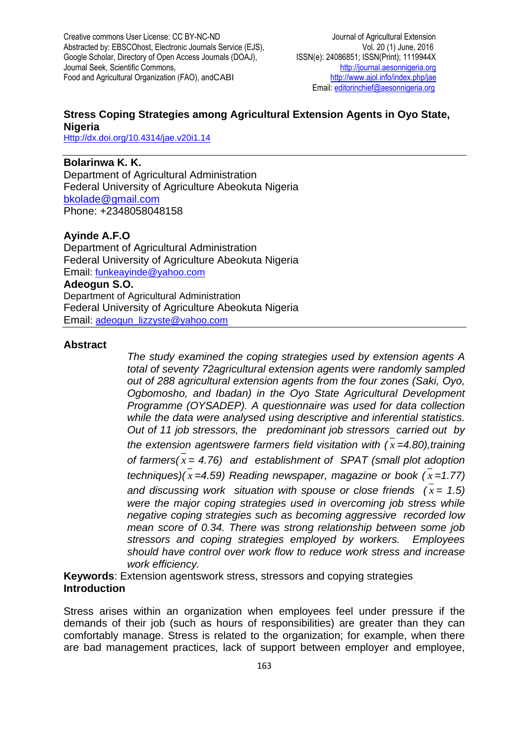Creative commons User License: CC BY-NC-ND Journal of Agricultural Extension Abstracted by: EBSCOhost, Electronic Journals Service (EJS), Vol. 20 (1) June, 2016 Google Scholar, Directory of Open Access Journals (DOAJ), ISSN(e): 24086851; ISSN(Print); 1119944X<br>Journal Seek, Scientific Commons, Intervention of the estimation of the example ria.org Journal Seek, Scientific Commons, Food and Agricultural Organization (FAO), andCABI <http://www.ajol.info/index.php/jae>

Email[: editorinchief@aesonnigeria.org](mailto:editorinchief@aesonnigeria.org)

### **Stress Coping Strategies among Agricultural Extension Agents in Oyo State, Nigeria**

[Http://dx.doi.org/10.4314/jae.v20i1.14](http://dx.doi.org/10.4314/jae.v20i1.14)

# **Bolarinwa K. K.**

Department of Agricultural Administration Federal University of Agriculture Abeokuta Nigeria [bkolade@gmail.com](mailto:bkolade@gmail.com) Phone: +2348058048158

### **Ayinde A.F.O**

Department of Agricultural Administration Federal University of Agriculture Abeokuta Nigeria Email: [funkeayinde@yahoo.com](mailto:funkeayinde@yahoo.com) **Adeogun S.O.**  Department of Agricultural Administration

Federal University of Agriculture Abeokuta Nigeria Email: [adeogun\\_lizzyste@yahoo.com](https://mail.google.com/mail/u/0/h/13hi9s8300ros/?&cs=wh&v=b&to=adeogun_lizzyste@yahoo.com)

#### **Abstract**

*The study examined the coping strategies used by extension agents A total of seventy 72agricultural extension agents were randomly sampled out of 288 agricultural extension agents from the four zones (Saki, Oyo, Ogbomosho, and Ibadan) in the Oyo State Agricultural Development Programme (OYSADEP). A questionnaire was used for data collection while the data were analysed using descriptive and inferential statistics. Out of 11 job stressors, the predominant job stressors carried out by the extension agentswere farmers field visitation with ( <sup>x</sup> =4.80),training of farmers( x = 4.76) and establishment of SPAT (small plot adoption techniques*)( $x = 4.59$ ) Reading newspaper, magazine or book ( $x = 1.77$ ) and discussing work situation with spouse or close friends  $(x = 1.5)$ *were the major coping strategies used in overcoming job stress while negative coping strategies such as becoming aggressive recorded low mean score of 0.34. There was strong relationship between some job stressors and coping strategies employed by workers. Employees should have control over work flow to reduce work stress and increase work efficiency.* 

**Keywords:** Extension agentswork stress, stressors and copying strategies **Introduction** 

Stress arises within an organization when employees feel under pressure if the demands of their job (such as hours of responsibilities) are greater than they can comfortably manage. Stress is related to the organization; for example, when there are bad management practices, lack of support between employer and employee,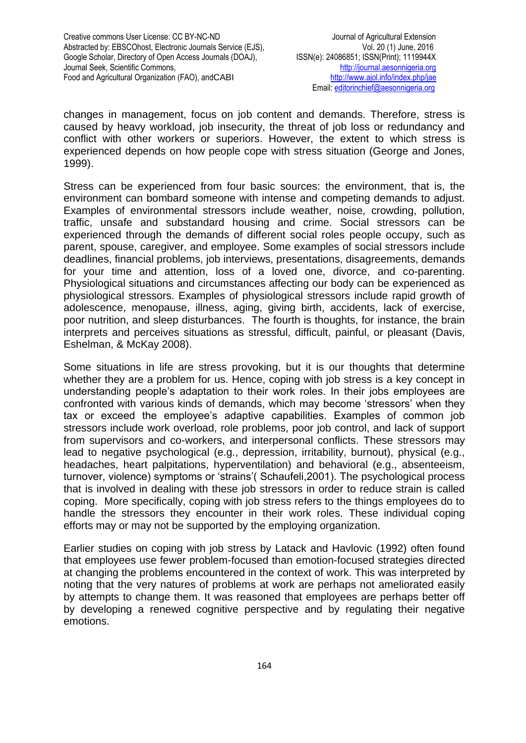changes in management, focus on job content and demands. Therefore, stress is caused by heavy workload, job insecurity, the threat of job loss or redundancy and conflict with other workers or superiors. However, the extent to which stress is experienced depends on how people cope with stress situation (George and Jones, 1999).

Stress can be experienced from four basic sources: the environment, that is, the environment can bombard someone with intense and competing demands to adjust. Examples of environmental stressors include weather, noise, crowding, pollution, traffic, unsafe and substandard housing and crime. Social stressors can be experienced through the demands of different social roles people occupy, such as parent, spouse, caregiver, and employee. Some examples of social stressors include deadlines, financial problems, job interviews, presentations, disagreements, demands for your time and attention, loss of a loved one, divorce, and co-parenting. Physiological situations and circumstances affecting our body can be experienced as physiological stressors. Examples of physiological stressors include rapid growth of adolescence, menopause, illness, aging, giving birth, accidents, lack of exercise, poor nutrition, and sleep disturbances. The fourth is thoughts, for instance, the brain interprets and perceives situations as stressful, difficult, painful, or pleasant (Davis, Eshelman, & McKay 2008).

Some situations in life are stress provoking, but it is our thoughts that determine whether they are a problem for us. Hence, coping with job stress is a key concept in understanding people's adaptation to their work roles. In their jobs employees are confronted with various kinds of demands, which may become 'stressors' when they tax or exceed the employee's adaptive capabilities. Examples of common job stressors include work overload, role problems, poor job control, and lack of support from supervisors and co-workers, and interpersonal conflicts. These stressors may lead to negative psychological (e.g., depression, irritability, burnout), physical (e.g., headaches, heart palpitations, hyperventilation) and behavioral (e.g., absenteeism, turnover, violence) symptoms or 'strains'( Schaufeli,2001). The psychological process that is involved in dealing with these job stressors in order to reduce strain is called coping. More specifically, coping with job stress refers to the things employees do to handle the stressors they encounter in their work roles. These individual coping efforts may or may not be supported by the employing organization.

Earlier studies on coping with job stress by Latack and Havlovic (1992) often found that employees use fewer problem-focused than emotion-focused strategies directed at changing the problems encountered in the context of work. This was interpreted by noting that the very natures of problems at work are perhaps not ameliorated easily by attempts to change them. It was reasoned that employees are perhaps better off by developing a renewed cognitive perspective and by regulating their negative emotions.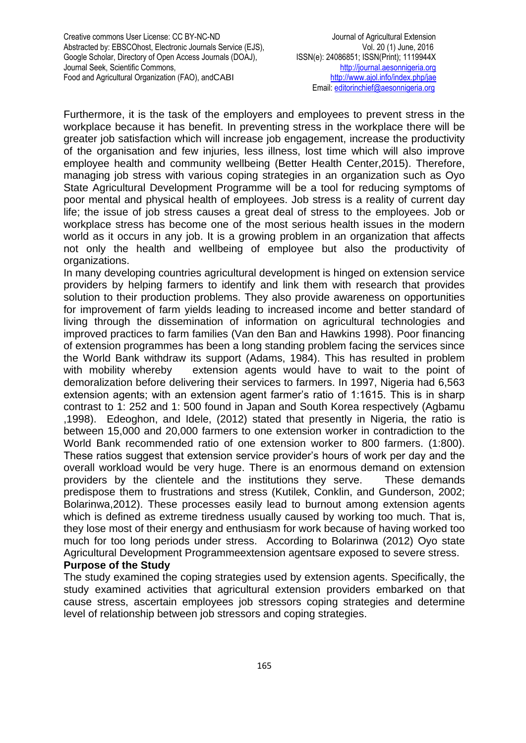Furthermore, it is the task of the employers and employees to prevent stress in the workplace because it has benefit. In preventing stress in the workplace there will be greater job satisfaction which will increase job engagement, increase the productivity of the organisation and few injuries, less illness, lost time which will also improve employee health and community wellbeing (Better Health Center,2015). Therefore, managing job stress with various coping strategies in an organization such as Oyo State Agricultural Development Programme will be a tool for reducing symptoms of poor mental and physical health of employees. Job stress is a reality of current day life; the issue of job stress causes a great deal of stress to the employees. Job or workplace stress has become one of the most serious health issues in the modern world as it occurs in any job. It is a growing problem in an organization that affects not only the health and wellbeing of employee but also the productivity of organizations.

In many developing countries agricultural development is hinged on extension service providers by helping farmers to identify and link them with research that provides solution to their production problems. They also provide awareness on opportunities for improvement of farm yields leading to increased income and better standard of living through the dissemination of information on agricultural technologies and improved practices to farm families (Van den Ban and Hawkins 1998). Poor financing of extension programmes has been a long standing problem facing the services since the World Bank withdraw its support (Adams, 1984). This has resulted in problem with mobility whereby extension agents would have to wait to the point of demoralization before delivering their services to farmers. In 1997, Nigeria had 6,563 extension agents; with an extension agent farmer's ratio of 1:1615. This is in sharp contrast to 1: 252 and 1: 500 found in Japan and South Korea respectively (Agbamu ,1998). Edeoghon, and Idele, (2012) stated that presently in Nigeria, the ratio is between 15,000 and 20,000 farmers to one extension worker in contradiction to the World Bank recommended ratio of one extension worker to 800 farmers. (1:800). These ratios suggest that extension service provider's hours of work per day and the overall workload would be very huge. There is an enormous demand on extension providers by the clientele and the institutions they serve. These demands predispose them to frustrations and stress (Kutilek, Conklin, and Gunderson, 2002; Bolarinwa,2012). These processes easily lead to burnout among extension agents which is defined as extreme tiredness usually caused by working too much. That is, they lose most of their energy and enthusiasm for work because of having worked too much for too long periods under stress. According to Bolarinwa (2012) Oyo state Agricultural Development Programmeextension agentsare exposed to severe stress.

### **Purpose of the Study**

The study examined the coping strategies used by extension agents. Specifically, the study examined activities that agricultural extension providers embarked on that cause stress, ascertain employees job stressors coping strategies and determine level of relationship between job stressors and coping strategies.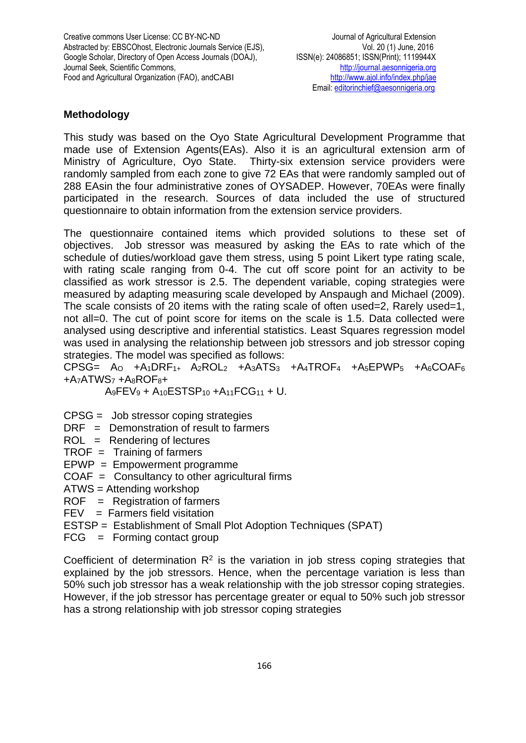## **Methodology**

This study was based on the Oyo State Agricultural Development Programme that made use of Extension Agents(EAs). Also it is an agricultural extension arm of Ministry of Agriculture, Oyo State. Thirty-six extension service providers were randomly sampled from each zone to give 72 EAs that were randomly sampled out of 288 EAsin the four administrative zones of OYSADEP. However, 70EAs were finally participated in the research. Sources of data included the use of structured questionnaire to obtain information from the extension service providers.

The questionnaire contained items which provided solutions to these set of objectives. Job stressor was measured by asking the EAs to rate which of the schedule of duties/workload gave them stress, using 5 point Likert type rating scale, with rating scale ranging from 0-4. The cut off score point for an activity to be classified as work stressor is 2.5. The dependent variable, coping strategies were measured by adapting measuring scale developed by Anspaugh and Michael (2009). The scale consists of 20 items with the rating scale of often used=2, Rarely used=1, not all=0. The cut of point score for items on the scale is 1.5. Data collected were analysed using descriptive and inferential statistics. Least Squares regression model was used in analysing the relationship between job stressors and job stressor coping strategies. The model was specified as follows:

 $CPSG=$  Ao  $+A_1DRF_{1+}$  A<sub>2</sub>ROL<sub>2</sub>  $+A_3ATS_3$   $+A_4TROF_4$   $+A_5EPWP_5$   $+A_6COAF_6$  $+A$ <sub>7</sub>ATWS<sub>7</sub>  $+A$ <sub>8</sub>ROF<sub>8</sub>+

 $A_9$ FEV $_9$  + A<sub>10</sub>ESTSP<sub>10</sub> + A<sub>11</sub>FCG<sub>11</sub> + U.

- CPSG = Job stressor coping strategies
- DRF = Demonstration of result to farmers
- ROL = Rendering of lectures
- $TROF = Triaining of farmers$
- EPWP = Empowerment programme
- $COAF =$  Consultancy to other agricultural firms
- ATWS = Attending workshop
- ROF = Registration of farmers
- $FEV = Farmers field visitation$
- ESTSP = Establishment of Small Plot Adoption Techniques (SPAT)
- $FCG = Forming contact group$

Coefficient of determination  $R^2$  is the variation in job stress coping strategies that explained by the job stressors. Hence, when the percentage variation is less than 50% such job stressor has a weak relationship with the job stressor coping strategies. However, if the job stressor has percentage greater or equal to 50% such job stressor has a strong relationship with job stressor coping strategies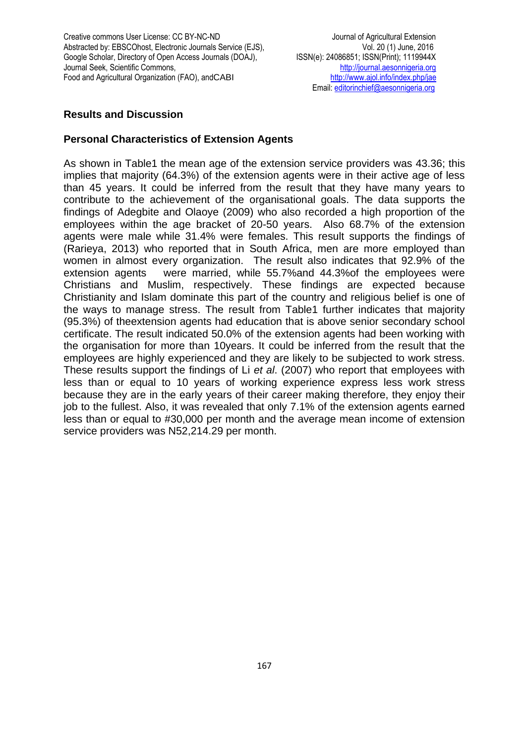Creative commons User License: CC BY-NC-ND Journal of Agricultural Extension Abstracted by: EBSCOhost, Electronic Journals Service (EJS), Vol. 20 (1) June, 2016<br>Goodle Scholar, Directory of Open Access Journals (DOAJ), ISSN(e): 24086851; ISSN(Print); 1119944X Google Scholar, Directory of Open Access Journals (DOAJ), ISSN(e): 24086851; ISSN(Print); 1119944X<br>Journal Seek, Scientific Commons, Intervention of the estimation of the example ria.org Journal Seek, Scientific Commons, Food and Agricultural Organization (FAO), andCABI <http://www.ajol.info/index.php/jae>

### **Results and Discussion**

### **Personal Characteristics of Extension Agents**

As shown in Table1 the mean age of the extension service providers was 43.36; this implies that majority (64.3%) of the extension agents were in their active age of less than 45 years. It could be inferred from the result that they have many years to contribute to the achievement of the organisational goals. The data supports the findings of Adegbite and Olaoye (2009) who also recorded a high proportion of the employees within the age bracket of 20-50 years. Also 68.7% of the extension agents were male while 31.4% were females. This result supports the findings of (Rarieya, 2013) who reported that in South Africa, men are more employed than women in almost every organization. The result also indicates that 92.9% of the extension agents were married, while 55.7%and 44.3%of the employees were Christians and Muslim, respectively. These findings are expected because Christianity and Islam dominate this part of the country and religious belief is one of the ways to manage stress. The result from Table1 further indicates that majority (95.3%) of theextension agents had education that is above senior secondary school certificate. The result indicated 50.0% of the extension agents had been working with the organisation for more than 10years. It could be inferred from the result that the employees are highly experienced and they are likely to be subjected to work stress. These results support the findings of Li *et al*. (2007) who report that employees with less than or equal to 10 years of working experience express less work stress because they are in the early years of their career making therefore, they enjoy their job to the fullest. Also, it was revealed that only 7.1% of the extension agents earned less than or equal to #30,000 per month and the average mean income of extension service providers was N52,214.29 per month.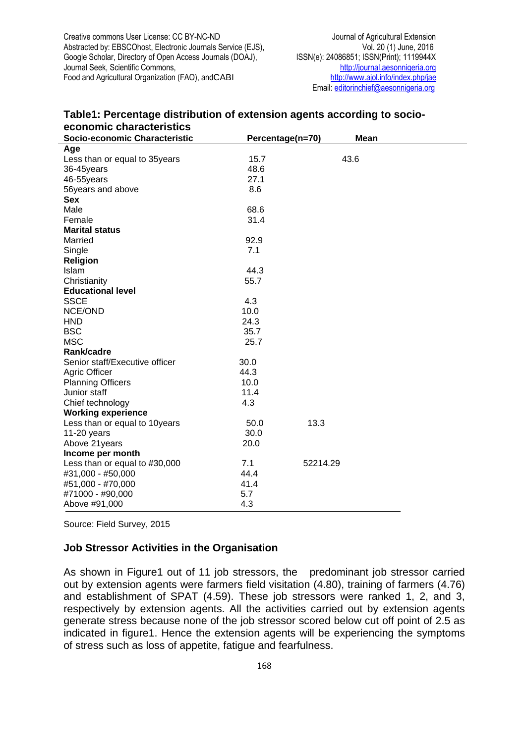| coononno onaractoristics       |                  |          |  |
|--------------------------------|------------------|----------|--|
| Socio-economic Characteristic  | Percentage(n=70) | Mean     |  |
| Age                            |                  |          |  |
| Less than or equal to 35years  | 15.7             | 43.6     |  |
| 36-45years                     | 48.6             |          |  |
| 46-55years                     | 27.1             |          |  |
| 56years and above              | 8.6              |          |  |
| <b>Sex</b>                     |                  |          |  |
| Male                           | 68.6             |          |  |
| Female                         | 31.4             |          |  |
| <b>Marital status</b>          |                  |          |  |
| Married                        | 92.9             |          |  |
| Single                         | 7.1              |          |  |
| <b>Religion</b>                |                  |          |  |
| Islam                          | 44.3             |          |  |
| Christianity                   | 55.7             |          |  |
| <b>Educational level</b>       |                  |          |  |
| <b>SSCE</b>                    | 4.3              |          |  |
| NCE/OND                        | 10.0             |          |  |
| <b>HND</b>                     | 24.3             |          |  |
| <b>BSC</b>                     | 35.7             |          |  |
| <b>MSC</b>                     | 25.7             |          |  |
| Rank/cadre                     |                  |          |  |
| Senior staff/Executive officer | 30.0             |          |  |
| Agric Officer                  | 44.3             |          |  |
| <b>Planning Officers</b>       | 10.0             |          |  |
| Junior staff                   | 11.4             |          |  |
| Chief technology               | 4.3              |          |  |
| <b>Working experience</b>      |                  |          |  |
| Less than or equal to 10years  | 50.0             | 13.3     |  |
| 11-20 years                    | 30.0             |          |  |
| Above 21years                  | 20.0             |          |  |
| Income per month               |                  |          |  |
| Less than or equal to #30,000  | 7.1              | 52214.29 |  |
| #31,000 - #50,000              | 44.4             |          |  |
| #51,000 - #70,000              | 41.4             |          |  |
| #71000 - #90,000               | 5.7              |          |  |
| Above #91,000                  | 4.3              |          |  |

#### **Table1: Percentage distribution of extension agents according to socioeconomic characteristics**

Source: Field Survey, 2015

#### **Job Stressor Activities in the Organisation**

As shown in Figure1 out of 11 job stressors, the predominant job stressor carried out by extension agents were farmers field visitation (4.80), training of farmers (4.76) and establishment of SPAT (4.59). These job stressors were ranked 1, 2, and 3, respectively by extension agents. All the activities carried out by extension agents generate stress because none of the job stressor scored below cut off point of 2.5 as indicated in figure1. Hence the extension agents will be experiencing the symptoms of stress such as loss of appetite, fatigue and fearfulness.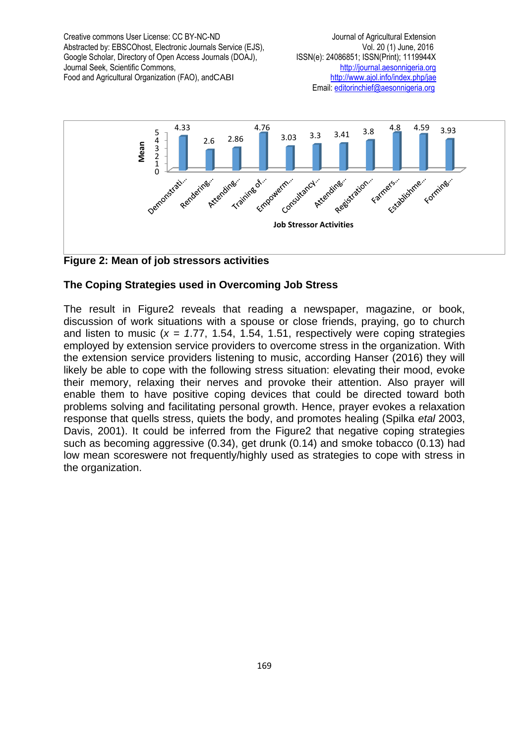Creative commons User License: CC BY-NC-ND Journal of Agricultural Extension Abstracted by: EBSCOhost, Electronic Journals Service (EJS), Vol. 20 (1) June, 2016 Google Scholar, Directory of Open Access Journals (DOAJ), ISSN(e): 24086851; ISSN(Print); 1119944X<br>Journal Seek, Scientific Commons, Intervention of the estimate assonnigeria.org Journal Seek, Scientific Commons, Food and Agricultural Organization (FAO), andCABI <http://www.ajol.info/index.php/jae>

Email[: editorinchief@aesonnigeria.org](mailto:editorinchief@aesonnigeria.org)



### **Figure 2: Mean of job stressors activities**

### **The Coping Strategies used in Overcoming Job Stress**

The result in Figure2 reveals that reading a newspaper, magazine, or book, discussion of work situations with a spouse or close friends, praying, go to church and listen to music  $(x = 1.77, 1.54, 1.54, 1.51,$  respectively were coping strategies employed by extension service providers to overcome stress in the organization. With the extension service providers listening to music, according Hanser (2016) they will likely be able to cope with the following stress situation: elevating their mood, evoke their memory, relaxing their nerves and provoke their attention. Also prayer will enable them to have positive coping devices that could be directed toward both problems solving and facilitating personal growth. Hence, prayer evokes a relaxation response that quells stress, quiets the body, and promotes healing (Spilka *etal* 2003, Davis, 2001). It could be inferred from the Figure2 that negative coping strategies such as becoming aggressive (0.34), get drunk (0.14) and smoke tobacco (0.13) had low mean scoreswere not frequently/highly used as strategies to cope with stress in the organization.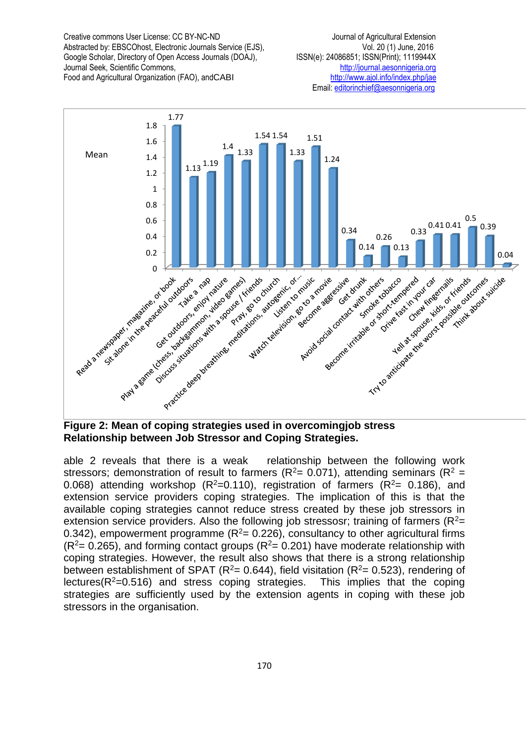Creative commons User License: CC BY-NC-ND Journal of Agricultural Extension Abstracted by: EBSCOhost, Electronic Journals Service (EJS), Vol. 20 (1) June, 2016 Google Scholar, Directory of Open Access Journals (DOAJ), ISSN(e): 24086851; ISSN(Print); 1119944X Journal Seek, Scientific Commons, [http://journal.aesonnigeria.org](http://journal.aesonnigeria.org/) Food and Agricultural Organization (FAO), andCABI <http://www.ajol.info/index.php/jae>

Email[: editorinchief@aesonnigeria.org](mailto:editorinchief@aesonnigeria.org)



**Relationship between Job Stressor and Coping Strategies.**

able 2 reveals that there is a weak relationship between the following work stressors; demonstration of result to farmers ( $R^2$  = 0.071), attending seminars ( $R^2$  = 0.068) attending workshop ( $R^2$ =0.110), registration of farmers ( $R^2$ = 0.186), and extension service providers coping strategies. The implication of this is that the available coping strategies cannot reduce stress created by these job stressors in extension service providers. Also the following job stressosr; training of farmers ( $R^2$ = 0.342), empowerment programme ( $R^2$ = 0.226), consultancy to other agricultural firms  $(R^2= 0.265)$ , and forming contact groups  $(R^2= 0.201)$  have moderate relationship with coping strategies. However, the result also shows that there is a strong relationship between establishment of SPAT ( $R^2$ = 0.644), field visitation ( $R^2$ = 0.523), rendering of lectures( $R^2$ =0.516) and stress coping strategies. This implies that the coping strategies are sufficiently used by the extension agents in coping with these job stressors in the organisation.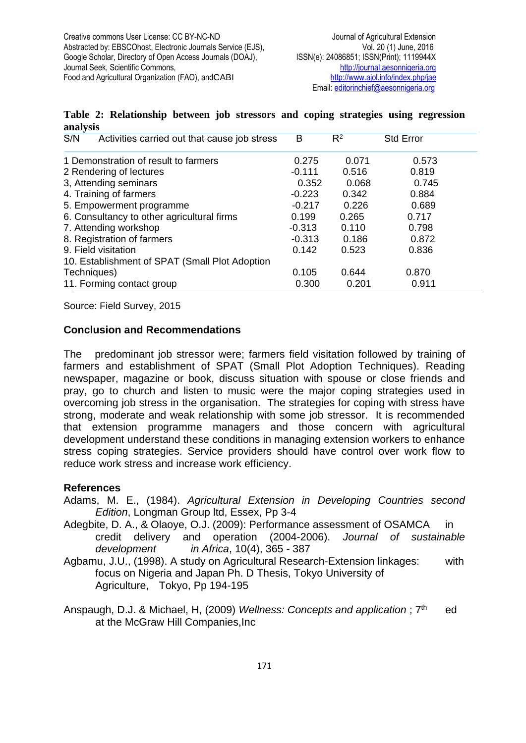Creative commons User License: CC BY-NC-ND Journal of Agricultural Extension Abstracted by: EBSCOhost, Electronic Journals Service (EJS), Vol. 20 (1) June, 2016<br>Goodle Scholar, Directory of Open Access Journals (DOAJ), ISSN(e): 24086851; ISSN(Print); 1119944X Google Scholar, Directory of Open Access Journals (DOAJ), Journal Seek, Scientific Commons, [http://journal.aesonnigeria.org](http://journal.aesonnigeria.org/) Food and Agricultural Organization (FAO), andCABI <http://www.ajol.info/index.php/jae>

Email[: editorinchief@aesonnigeria.org](mailto:editorinchief@aesonnigeria.org)

#### **Table 2: Relationship between job stressors and coping strategies using regression analysis**

| S/N<br>Activities carried out that cause job stress | B        | $R^2$ | <b>Std Error</b> |
|-----------------------------------------------------|----------|-------|------------------|
| 1 Demonstration of result to farmers                | 0.275    | 0.071 | 0.573            |
| 2 Rendering of lectures                             | $-0.111$ | 0.516 | 0.819            |
| 3, Attending seminars                               | 0.352    | 0.068 | 0.745            |
| 4. Training of farmers                              | $-0.223$ | 0.342 | 0.884            |
| 5. Empowerment programme                            | $-0.217$ | 0.226 | 0.689            |
| 6. Consultancy to other agricultural firms          | 0.199    | 0.265 | 0.717            |
| 7. Attending workshop                               | $-0.313$ | 0.110 | 0.798            |
| 8. Registration of farmers                          | $-0.313$ | 0.186 | 0.872            |
| 9. Field visitation                                 | 0.142    | 0.523 | 0.836            |
| 10. Establishment of SPAT (Small Plot Adoption      |          |       |                  |
| Techniques)                                         | 0.105    | 0.644 | 0.870            |
| 11. Forming contact group                           | 0.300    | 0.201 | 0.911            |

Source: Field Survey, 2015

#### **Conclusion and Recommendations**

The predominant job stressor were; farmers field visitation followed by training of farmers and establishment of SPAT (Small Plot Adoption Techniques). Reading newspaper, magazine or book, discuss situation with spouse or close friends and pray, go to church and listen to music were the major coping strategies used in overcoming job stress in the organisation. The strategies for coping with stress have strong, moderate and weak relationship with some job stressor. It is recommended that extension programme managers and those concern with agricultural development understand these conditions in managing extension workers to enhance stress coping strategies. Service providers should have control over work flow to reduce work stress and increase work efficiency.

#### **References**

- Adams, M. E., (1984). *Agricultural Extension in Developing Countries second Edition*, Longman Group ltd, Essex, Pp 3-4
- Adegbite, D. A., & Olaoye, O.J. (2009): Performance assessment of OSAMCA in credit delivery and operation (2004-2006). *Journal of sustainable development in Africa*, 10(4), 365 - 387
- Agbamu, J.U., (1998). A study on Agricultural Research-Extension linkages: with focus on Nigeria and Japan Ph. D Thesis, Tokyo University of Agriculture, Tokyo, Pp 194-195
- Anspaugh, D.J. & Michael, H, (2009) *Wellness: Concepts and application* ; 7th ed at the McGraw Hill Companies,Inc